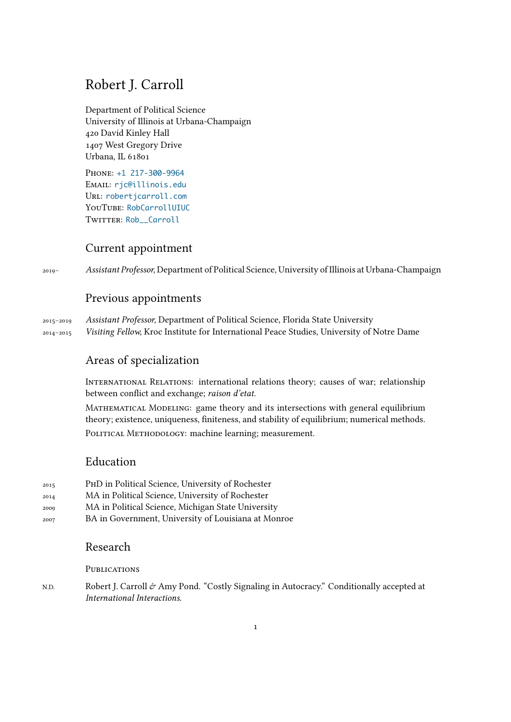# Robert J. Carroll

Department of Political Science University of Illinois at Urbana-Champaign 420 David Kinley Hall 1407 West Gregory Drive Urbana, IL 61801

Phone: +1 217-300-9964 Email: rjc@illinois.edu Url: robertjcarroll.com YouTube: RobCarrollUIUC TWITTER: Rob Carroll

### Cur[rent](https://www.robertjcarroll.com) [appointment](https://www.youtube.com/channel/UCdEctyMcq4BCKX5Nv29VDwQ)

2019– *Assistant P[rofessor,](https://www.twitter.com/Rob__Carroll)* Department of Political Science, University of Illinois at Urbana-Champaign

## Previous appointments

2015–2019 *Assistant Professor,* Department of Political Science, Florida State University 2014–2015 *Visiting Fellow,* Kroc Institute for International Peace Studies, University of Notre Dame

## Areas of specialization

International Relations: international relations theory; causes of war; relationship between conflict and exchange; *raison d'etat.*

Mathematical Modeling: game theory and its intersections with general equilibrium theory; existence, uniqueness, finiteness, and stability of equilibrium; numerical methods. POLITICAL METHODOLOGY: machine learning; measurement.

## Education

- 2015 PhD in Political Science, University of Rochester
- 2014 MA in Political Science, University of Rochester
- 2009 MA in Political Science, Michigan State University
- 2007 BA in Government, University of Louisiana at Monroe

### Research

PUBLICATIONS

N.D. Robert J. Carroll & Amy Pond. "Costly Signaling in Autocracy." Conditionally accepted at *International Interactions*.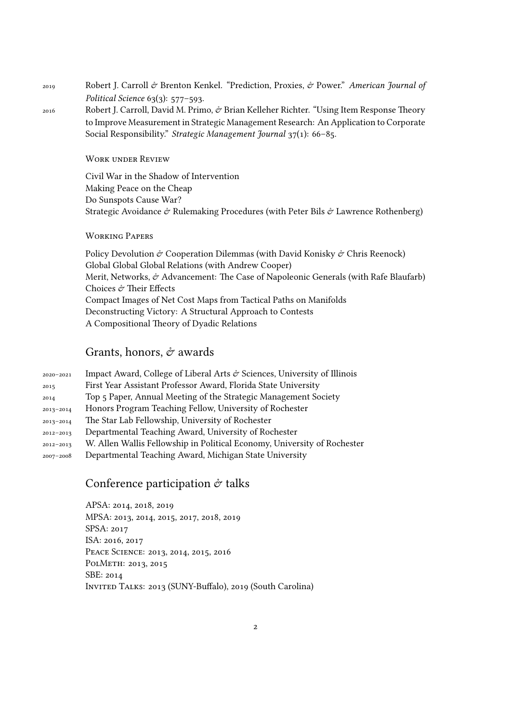2019 Robert J. Carroll & Brenton Kenkel. "Prediction, Proxies, & Power." *American Journal of Political Science* 63(3): 577–593.

2016 Robert J. Carroll, David M. Primo,  $\dot{\mathcal{O}}$  Brian Kelleher Richter. "Using Item Response Theory to Improve Measurement in Strategic Management Research: An Application to Corporate Social Responsibility." *Strategic Management Journal* 37(1): 66–85.

Work under Review

Civil War in the Shadow of Intervention Making Peace on the Cheap Do Sunspots Cause War? Strategic Avoidance  $\dot{\mathcal{C}}$  Rulemaking Procedures (with Peter Bils  $\dot{\mathcal{C}}$  Lawrence Rothenberg)

#### Working Papers

Policy Devolution  $\hat{\sigma}$  Cooperation Dilemmas (with David Konisky  $\hat{\sigma}$  Chris Reenock) Global Global Global Relations (with Andrew Cooper) Merit, Networks, & Advancement: The Case of Napoleonic Generals (with Rafe Blaufarb) Choices & Their Effects Compact Images of Net Cost Maps from Tactical Paths on Manifolds Deconstructing Victory: A Structural Approach to Contests A Compositional Theory of Dyadic Relations

#### Grants, honors,  $\mathcal{O}$  awards

| 2020-2021     | Impact Award, College of Liberal Arts $\mathcal O$ Sciences, University of Illinois |
|---------------|-------------------------------------------------------------------------------------|
| 2015          | First Year Assistant Professor Award, Florida State University                      |
| 2014          | Top 5 Paper, Annual Meeting of the Strategic Management Society                     |
| 2013-2014     | Honors Program Teaching Fellow, University of Rochester                             |
| 2013-2014     | The Star Lab Fellowship, University of Rochester                                    |
| $2012 - 2013$ | Departmental Teaching Award, University of Rochester                                |
| $2012 - 2013$ | W. Allen Wallis Fellowship in Political Economy, University of Rochester            |
| 2007-2008     | Departmental Teaching Award, Michigan State University                              |

### Conference participation  $\dot{\sigma}$  talks

APSA: 2014, 2018, 2019 MPSA: 2013, 2014, 2015, 2017, 2018, 2019 SPSA: 2017 ISA: 2016, 2017 Peace Science: 2013, 2014, 2015, 2016 PolMeth: 2013, 2015 SBE: 2014 Invited Talks: 2013 (SUNY-Buffalo), 2019 (South Carolina)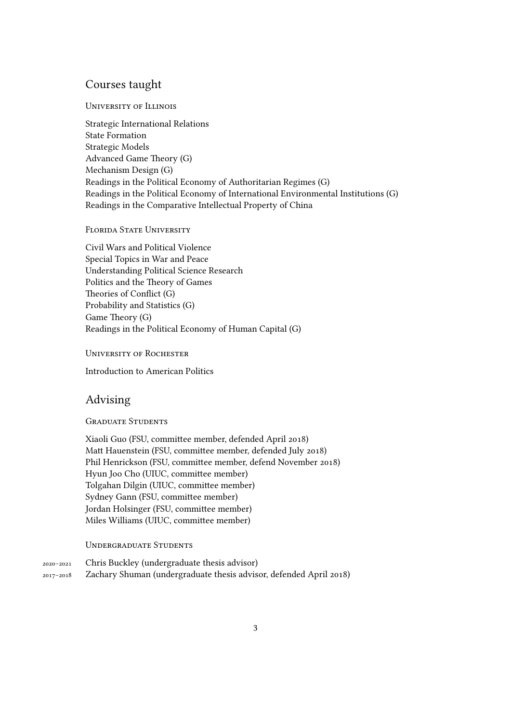#### Courses taught

#### University of Illinois

Strategic International Relations State Formation Strategic Models Advanced Game Theory (G) Mechanism Design (G) Readings in the Political Economy of Authoritarian Regimes (G) Readings in the Political Economy of International Environmental Institutions (G) Readings in the Comparative Intellectual Property of China

#### FLORIDA STATE UNIVERSITY

Civil Wars and Political Violence Special Topics in War and Peace Understanding Political Science Research Politics and the Theory of Games Theories of Conflict (G) Probability and Statistics (G) Game Theory (G) Readings in the Political Economy of Human Capital (G)

University of Rochester

Introduction to American Politics

### Advising

#### Graduate Students

Xiaoli Guo (FSU, committee member, defended April 2018) Matt Hauenstein (FSU, committee member, defended July 2018) Phil Henrickson (FSU, committee member, defend November 2018) Hyun Joo Cho (UIUC, committee member) Tolgahan Dilgin (UIUC, committee member) Sydney Gann (FSU, committee member) Jordan Holsinger (FSU, committee member) Miles Williams (UIUC, committee member)

#### Undergraduate Students

2020–2021 Chris Buckley (undergraduate thesis advisor) 2017–2018 Zachary Shuman (undergraduate thesis advisor, defended April 2018)